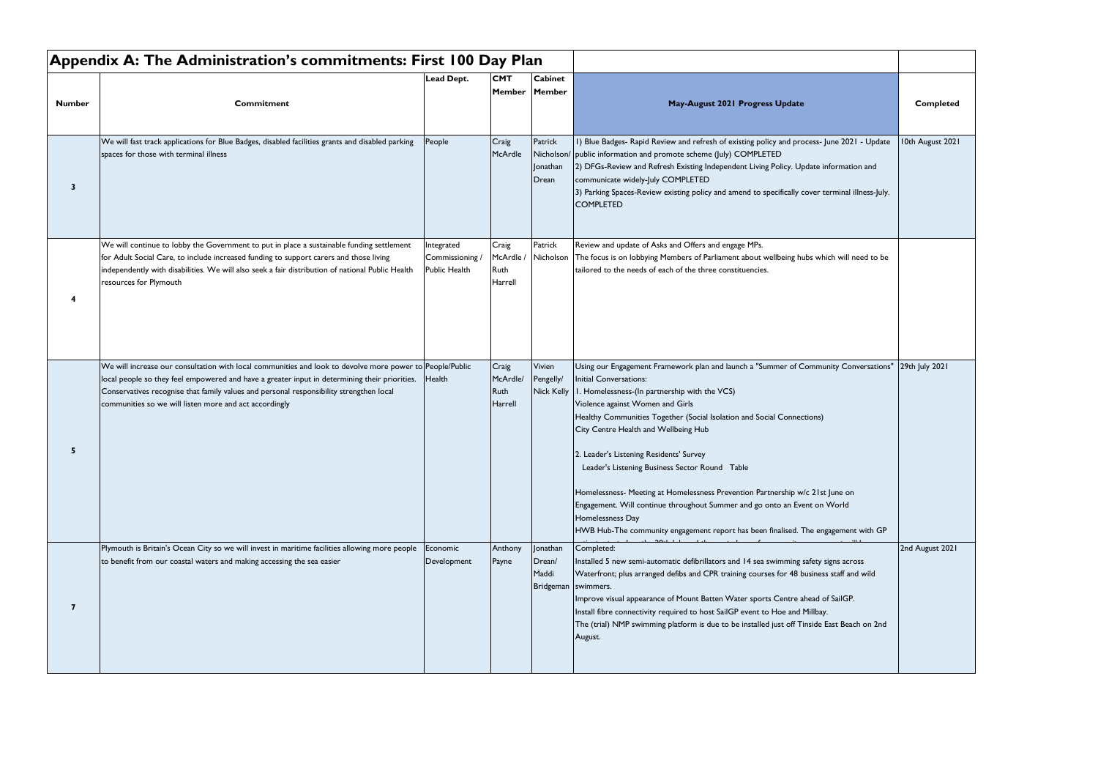| <b>Number</b>           | Commitment                                                                                                                                                                                                                                                                                                                                                     | Lead Dept.                                   | <b>CMT</b><br>Member                  | <b>Cabinet</b><br>Member                             | May-August 2021 Progress Update                                                                                                                                                                                                                                                                                                                                                                                                                                                                                                                                                                                                                                                            | <b>Completed</b> |
|-------------------------|----------------------------------------------------------------------------------------------------------------------------------------------------------------------------------------------------------------------------------------------------------------------------------------------------------------------------------------------------------------|----------------------------------------------|---------------------------------------|------------------------------------------------------|--------------------------------------------------------------------------------------------------------------------------------------------------------------------------------------------------------------------------------------------------------------------------------------------------------------------------------------------------------------------------------------------------------------------------------------------------------------------------------------------------------------------------------------------------------------------------------------------------------------------------------------------------------------------------------------------|------------------|
| $\overline{\mathbf{3}}$ | We will fast track applications for Blue Badges, disabled facilities grants and disabled parking<br>spaces for those with terminal illness                                                                                                                                                                                                                     | People                                       | Craig<br>McArdle                      | Patrick<br>Nicholson/<br><b>Jonathan</b><br>Drean    | I) Blue Badges- Rapid Review and refresh of existing policy and process- June 2021 - Update<br>public information and promote scheme (July) COMPLETED<br>2) DFGs-Review and Refresh Existing Independent Living Policy. Update information and<br>communicate widely-July COMPLETED<br>3) Parking Spaces-Review existing policy and amend to specifically cover terminal illness-July.<br><b>COMPLETED</b>                                                                                                                                                                                                                                                                                 | 10th August 2021 |
|                         | We will continue to lobby the Government to put in place a sustainable funding settlement<br>for Adult Social Care, to include increased funding to support carers and those living<br>independently with disabilities. We will also seek a fair distribution of national Public Health<br>resources for Plymouth                                              | Integrated<br>Commissioning<br>Public Health | Craig<br>McArdle /<br>Ruth<br>Harrell | Patrick<br>Nicholson                                 | Review and update of Asks and Offers and engage MPs.<br>The focus is on lobbying Members of Parliament about wellbeing hubs which will need to be<br>tailored to the needs of each of the three constituencies.                                                                                                                                                                                                                                                                                                                                                                                                                                                                            |                  |
| -5                      | We will increase our consultation with local communities and look to devolve more power to People/Public<br>local people so they feel empowered and have a greater input in determining their priorities.<br>Conservatives recognise that family values and personal responsibility strengthen local<br>communities so we will listen more and act accordingly | Health                                       | Craig<br>McArdle/<br>Ruth<br>Harrell  | Vivien<br>Pengelly/<br><b>Nick Kelly</b>             | Using our Engagement Framework plan and launch a "Summer of Community Conversations"<br>Initial Conversations:<br>I. Homelessness-(In partnership with the VCS)<br>Violence against Women and Girls<br>Healthy Communities Together (Social Isolation and Social Connections)<br>City Centre Health and Wellbeing Hub<br>2. Leader's Listening Residents' Survey<br>Leader's Listening Business Sector Round Table<br>Homelessness- Meeting at Homelessness Prevention Partnership w/c 21st June on<br>Engagement. Will continue throughout Summer and go onto an Event on World<br>Homelessness Day<br>HWB Hub-The community engagement report has been finalised. The engagement with GP | 29th July 2021   |
|                         | Plymouth is Britain's Ocean City so we will invest in maritime facilities allowing more people<br>to benefit from our coastal waters and making accessing the sea easier                                                                                                                                                                                       | Economic<br>Development                      | Anthony<br>Payne                      | Jonathan<br>Drean/<br>Maddi<br>Bridgeman   swimmers. | Completed:<br>Installed 5 new semi-automatic defibrillators and 14 sea swimming safety signs across<br>Waterfront; plus arranged defibs and CPR training courses for 48 business staff and wild<br>Improve visual appearance of Mount Batten Water sports Centre ahead of SailGP.<br>Install fibre connectivity required to host SailGP event to Hoe and Millbay.<br>The (trial) NMP swimming platform is due to be installed just off Tinside East Beach on 2nd<br>August.                                                                                                                                                                                                                | 2nd August 2021  |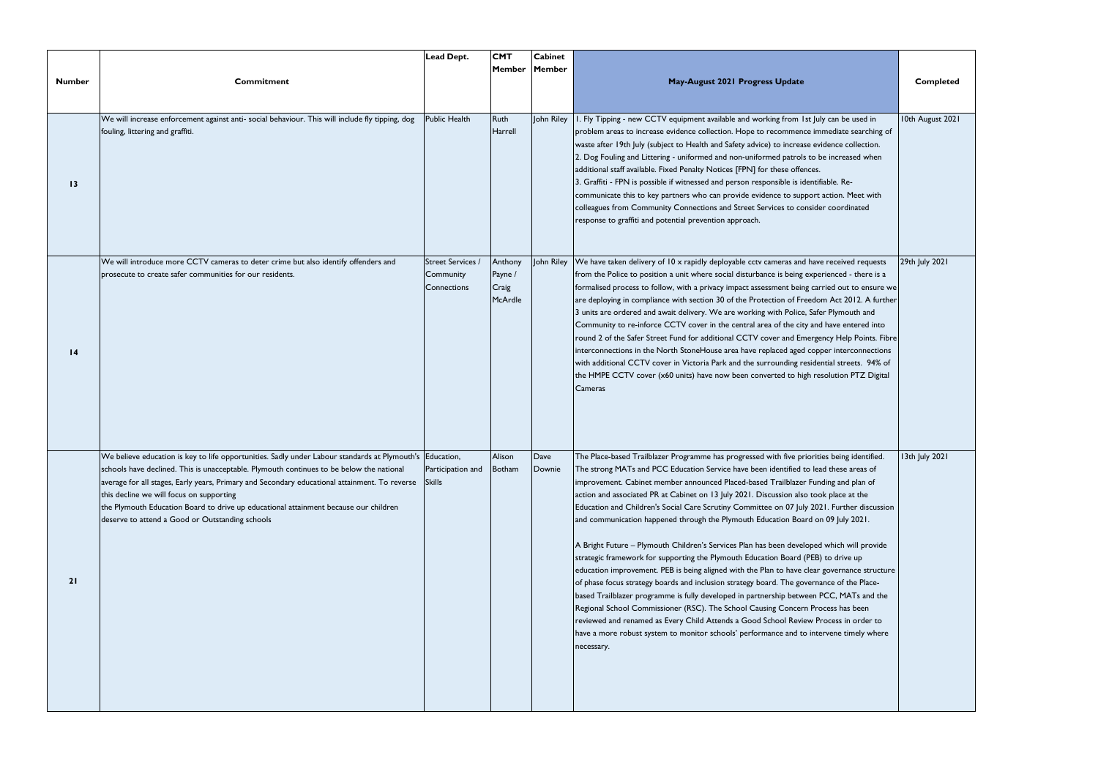|                 |                                                                                                                                                                                                                                                                                                                                                                                                                                                                                              | <b>Lead Dept.</b>                                    | <b>CMT</b><br><b>Member</b>            | <b>Cabinet</b><br>Member |                                                                                                                                                                                                                                                                                                                                                                                                                                                                                                                                                                                                                                                                                                                                                                                                                                                                                                                                                                                                                                                                                                                                                                                                                                                                                                                       |                  |
|-----------------|----------------------------------------------------------------------------------------------------------------------------------------------------------------------------------------------------------------------------------------------------------------------------------------------------------------------------------------------------------------------------------------------------------------------------------------------------------------------------------------------|------------------------------------------------------|----------------------------------------|--------------------------|-----------------------------------------------------------------------------------------------------------------------------------------------------------------------------------------------------------------------------------------------------------------------------------------------------------------------------------------------------------------------------------------------------------------------------------------------------------------------------------------------------------------------------------------------------------------------------------------------------------------------------------------------------------------------------------------------------------------------------------------------------------------------------------------------------------------------------------------------------------------------------------------------------------------------------------------------------------------------------------------------------------------------------------------------------------------------------------------------------------------------------------------------------------------------------------------------------------------------------------------------------------------------------------------------------------------------|------------------|
| <b>Number</b>   | <b>Commitment</b>                                                                                                                                                                                                                                                                                                                                                                                                                                                                            |                                                      |                                        |                          | May-August 2021 Progress Update                                                                                                                                                                                                                                                                                                                                                                                                                                                                                                                                                                                                                                                                                                                                                                                                                                                                                                                                                                                                                                                                                                                                                                                                                                                                                       | <b>Completed</b> |
| 13              | We will increase enforcement against anti- social behaviour. This will include fly tipping, dog<br>fouling, littering and graffiti.                                                                                                                                                                                                                                                                                                                                                          | Public Health                                        | Ruth<br>Harrell                        | John Riley               | . Fly Tipping - new CCTV equipment available and working from 1st July can be used in<br>problem areas to increase evidence collection. Hope to recommence immediate searching of<br>waste after 19th July (subject to Health and Safety advice) to increase evidence collection.<br>2. Dog Fouling and Littering - uniformed and non-uniformed patrols to be increased when<br>additional staff available. Fixed Penalty Notices [FPN] for these offences.<br>3. Graffiti - FPN is possible if witnessed and person responsible is identifiable. Re-<br>communicate this to key partners who can provide evidence to support action. Meet with<br>colleagues from Community Connections and Street Services to consider coordinated<br>response to graffiti and potential prevention approach.                                                                                                                                                                                                                                                                                                                                                                                                                                                                                                                       | 10th August 2021 |
| $\overline{14}$ | We will introduce more CCTV cameras to deter crime but also identify offenders and<br>prosecute to create safer communities for our residents.                                                                                                                                                                                                                                                                                                                                               | <b>Street Services /</b><br>Community<br>Connections | Anthony<br>Payne /<br>Craig<br>McArdle | John Riley               | We have taken delivery of 10 x rapidly deployable cctv cameras and have received requests<br>from the Police to position a unit where social disturbance is being experienced - there is a<br>formalised process to follow, with a privacy impact assessment being carried out to ensure we<br>are deploying in compliance with section 30 of the Protection of Freedom Act 2012. A further<br>3 units are ordered and await delivery. We are working with Police, Safer Plymouth and<br>Community to re-inforce CCTV cover in the central area of the city and have entered into<br>round 2 of the Safer Street Fund for additional CCTV cover and Emergency Help Points. Fibre<br>interconnections in the North StoneHouse area have replaced aged copper interconnections<br>with additional CCTV cover in Victoria Park and the surrounding residential streets. 94% of<br>the HMPE CCTV cover (x60 units) have now been converted to high resolution PTZ Digital<br>Cameras                                                                                                                                                                                                                                                                                                                                      | 29th July 2021   |
| 21              | We believe education is key to life opportunities. Sadly under Labour standards at Plymouth's Education,<br>schools have declined. This is unacceptable. Plymouth continues to be below the national<br>average for all stages, Early years, Primary and Secondary educational attainment. To reverse<br>this decline we will focus on supporting<br>the Plymouth Education Board to drive up educational attainment because our children<br>deserve to attend a Good or Outstanding schools | Participation and<br><b>Skills</b>                   | Alison<br> Botham                      | Dave<br>Downie           | The Place-based Trailblazer Programme has progressed with five priorities being identified.<br>The strong MATs and PCC Education Service have been identified to lead these areas of<br>improvement. Cabinet member announced Placed-based Trailblazer Funding and plan of<br>action and associated PR at Cabinet on 13 July 2021. Discussion also took place at the<br>Education and Children's Social Care Scrutiny Committee on 07 July 2021. Further discussion<br>and communication happened through the Plymouth Education Board on 09 July 2021.<br>A Bright Future - Plymouth Children's Services Plan has been developed which will provide<br>strategic framework for supporting the Plymouth Education Board (PEB) to drive up<br>education improvement. PEB is being aligned with the Plan to have clear governance structure<br>of phase focus strategy boards and inclusion strategy board. The governance of the Place-<br>based Trailblazer programme is fully developed in partnership between PCC, MATs and the<br>Regional School Commissioner (RSC). The School Causing Concern Process has been<br>reviewed and renamed as Every Child Attends a Good School Review Process in order to<br>have a more robust system to monitor schools' performance and to intervene timely where<br>necessary. | 13th July 2021   |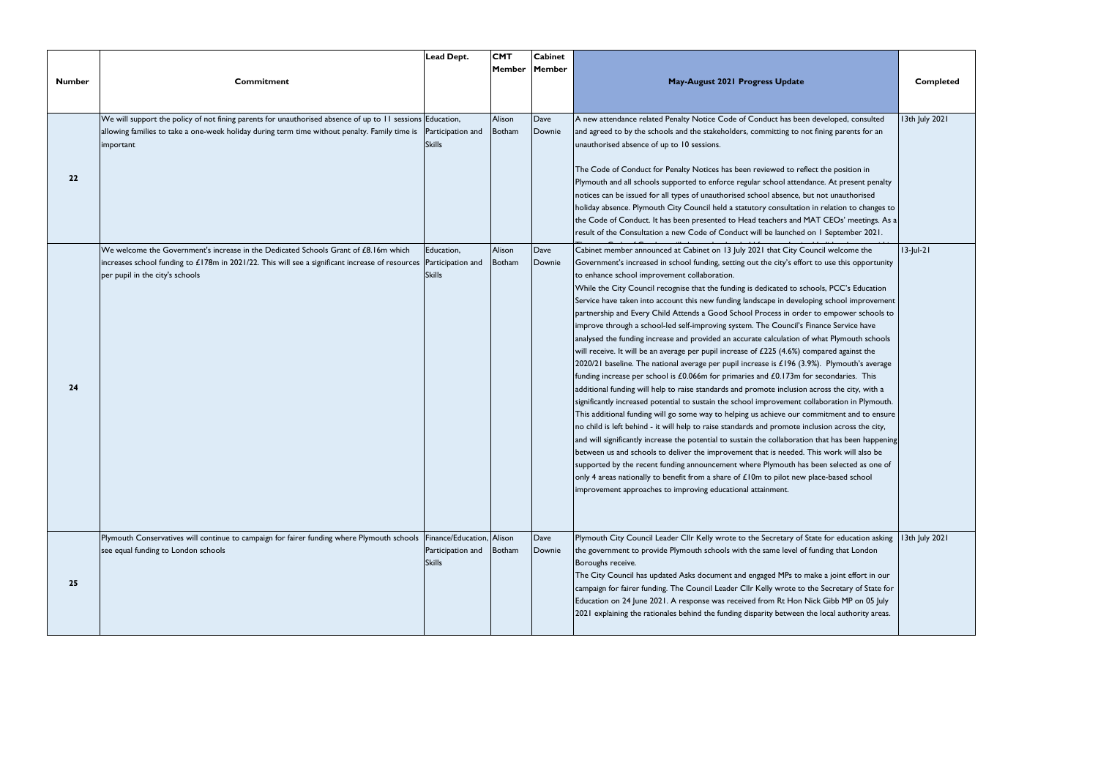| <b>Number</b> | <b>Commitment</b>                                                                                                                                                                                                                            | Lead Dept.                         | <b>CMT</b><br>Member Member | <b>Cabinet</b> | May-August 2021 Progress Update                                                                                                                                                                                                                                                                                                                                                                                                                                                                                                                                                                                                                                                                                                                                                                                                                                                                                                                                                                                                                                                                                                                                                                                                                                                                                                                                                                                                                                                                                                                                                                                                                                                                                                                                                                                                                                               | <b>Completed</b> |
|---------------|----------------------------------------------------------------------------------------------------------------------------------------------------------------------------------------------------------------------------------------------|------------------------------------|-----------------------------|----------------|-------------------------------------------------------------------------------------------------------------------------------------------------------------------------------------------------------------------------------------------------------------------------------------------------------------------------------------------------------------------------------------------------------------------------------------------------------------------------------------------------------------------------------------------------------------------------------------------------------------------------------------------------------------------------------------------------------------------------------------------------------------------------------------------------------------------------------------------------------------------------------------------------------------------------------------------------------------------------------------------------------------------------------------------------------------------------------------------------------------------------------------------------------------------------------------------------------------------------------------------------------------------------------------------------------------------------------------------------------------------------------------------------------------------------------------------------------------------------------------------------------------------------------------------------------------------------------------------------------------------------------------------------------------------------------------------------------------------------------------------------------------------------------------------------------------------------------------------------------------------------------|------------------|
| 22            | We will support the policy of not fining parents for unauthorised absence of up to 11 sessions Education,<br>allowing families to take a one-week holiday during term time without penalty. Family time is<br>important                      | Participation and<br><b>Skills</b> | Alison<br>Botham            | Dave<br>Downie | A new attendance related Penalty Notice Code of Conduct has been developed, consulted<br>and agreed to by the schools and the stakeholders, committing to not fining parents for an<br>unauthorised absence of up to 10 sessions.<br>The Code of Conduct for Penalty Notices has been reviewed to reflect the position in<br>Plymouth and all schools supported to enforce regular school attendance. At present penalty<br>notices can be issued for all types of unauthorised school absence, but not unauthorised<br>holiday absence. Plymouth City Council held a statutory consultation in relation to changes to<br>the Code of Conduct. It has been presented to Head teachers and MAT CEOs' meetings. As a<br>result of the Consultation a new Code of Conduct will be launched on 1 September 2021.                                                                                                                                                                                                                                                                                                                                                                                                                                                                                                                                                                                                                                                                                                                                                                                                                                                                                                                                                                                                                                                                  | 13th July 2021   |
| 24            | We welcome the Government's increase in the Dedicated Schools Grant of £8.16m which<br>increases school funding to £178m in 2021/22. This will see a significant increase of resources  Participation and<br>per pupil in the city's schools | Education,<br><b>Skills</b>        | Alison<br>Botham            | Dave<br>Downie | Cabinet member announced at Cabinet on 13 July 2021 that City Council welcome the<br>Government's increased in school funding, setting out the city's effort to use this opportunity<br>to enhance school improvement collaboration.<br>While the City Council recognise that the funding is dedicated to schools, PCC's Education<br>Service have taken into account this new funding landscape in developing school improvement<br>partnership and Every Child Attends a Good School Process in order to empower schools to<br>improve through a school-led self-improving system. The Council's Finance Service have<br>analysed the funding increase and provided an accurate calculation of what Plymouth schools<br>will receive. It will be an average per pupil increase of £225 (4.6%) compared against the<br>$2020/21$ baseline. The national average per pupil increase is £196 (3.9%). Plymouth's average<br>funding increase per school is £0.066m for primaries and £0.173m for secondaries. This<br>additional funding will help to raise standards and promote inclusion across the city, with a<br>significantly increased potential to sustain the school improvement collaboration in Plymouth.<br>This additional funding will go some way to helping us achieve our commitment and to ensure<br>no child is left behind - it will help to raise standards and promote inclusion across the city,<br>and will significantly increase the potential to sustain the collaboration that has been happening<br>between us and schools to deliver the improvement that is needed. This work will also be<br>supported by the recent funding announcement where Plymouth has been selected as one of<br>only 4 areas nationally to benefit from a share of £10m to pilot new place-based school<br>improvement approaches to improving educational attainment. | $ 13- $ ul-21    |
| 25            | Plymouth Conservatives will continue to campaign for fairer funding where Plymouth schools   Finance/Education,   Alison<br>see equal funding to London schools                                                                              | Participation and<br><b>Skills</b> | Botham                      | Dave<br>Downie | Plymouth City Council Leader Cllr Kelly wrote to the Secretary of State for education asking<br>the government to provide Plymouth schools with the same level of funding that London<br>Boroughs receive.<br>The City Council has updated Asks document and engaged MPs to make a joint effort in our<br>campaign for fairer funding. The Council Leader Cllr Kelly wrote to the Secretary of State for<br>Education on 24 June 2021. A response was received from Rt Hon Nick Gibb MP on 05 July<br>[2021 explaining the rationales behind the funding disparity between the local authority areas.                                                                                                                                                                                                                                                                                                                                                                                                                                                                                                                                                                                                                                                                                                                                                                                                                                                                                                                                                                                                                                                                                                                                                                                                                                                                         | 13th July 2021   |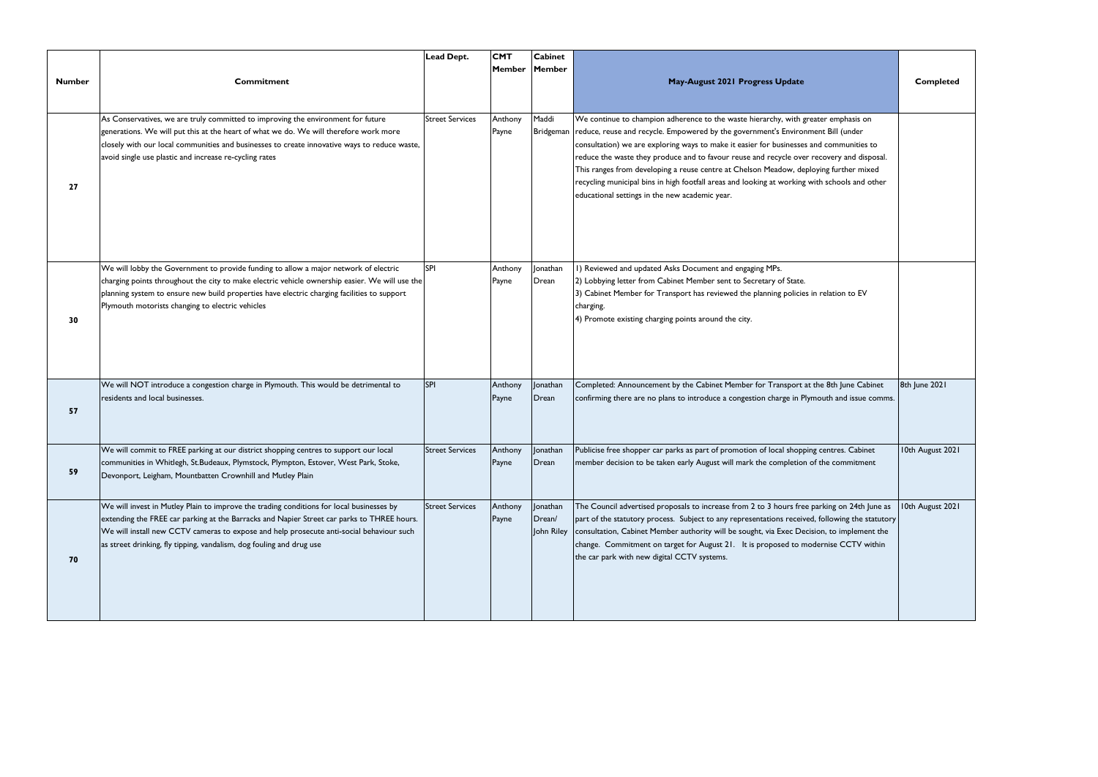|               |                                                                                                                                                                                                                                                                                                                                                            | <b>Lead Dept.</b>      | <b>CMT</b>       | <b>Cabinet</b>                   |                                                                                                                                                                                                                                                                                                                                                                                                                                                                                                                                                                                                            |                  |
|---------------|------------------------------------------------------------------------------------------------------------------------------------------------------------------------------------------------------------------------------------------------------------------------------------------------------------------------------------------------------------|------------------------|------------------|----------------------------------|------------------------------------------------------------------------------------------------------------------------------------------------------------------------------------------------------------------------------------------------------------------------------------------------------------------------------------------------------------------------------------------------------------------------------------------------------------------------------------------------------------------------------------------------------------------------------------------------------------|------------------|
| <b>Number</b> | <b>Commitment</b>                                                                                                                                                                                                                                                                                                                                          |                        | Member Member    |                                  | May-August 2021 Progress Update                                                                                                                                                                                                                                                                                                                                                                                                                                                                                                                                                                            | <b>Completed</b> |
| 27            | As Conservatives, we are truly committed to improving the environment for future<br>generations. We will put this at the heart of what we do. We will therefore work more<br>closely with our local communities and businesses to create innovative ways to reduce waste,<br>avoid single use plastic and increase re-cycling rates                        | <b>Street Services</b> | Anthony<br>Payne | Maddi<br>Bridgeman               | We continue to champion adherence to the waste hierarchy, with greater emphasis on<br>reduce, reuse and recycle. Empowered by the government's Environment Bill (under<br>consultation) we are exploring ways to make it easier for businesses and communities to<br>reduce the waste they produce and to favour reuse and recycle over recovery and disposal.<br>This ranges from developing a reuse centre at Chelson Meadow, deploying further mixed<br>recycling municipal bins in high footfall areas and looking at working with schools and other<br>educational settings in the new academic year. |                  |
| 30            | We will lobby the Government to provide funding to allow a major network of electric<br>charging points throughout the city to make electric vehicle ownership easier. We will use the<br>planning system to ensure new build properties have electric charging facilities to support<br>Plymouth motorists changing to electric vehicles                  | SPI                    | Anthony<br>Payne | Jonathan<br>Drean                | I) Reviewed and updated Asks Document and engaging MPs.<br>2) Lobbying letter from Cabinet Member sent to Secretary of State.<br>3) Cabinet Member for Transport has reviewed the planning policies in relation to EV<br>charging.<br>4) Promote existing charging points around the city.                                                                                                                                                                                                                                                                                                                 |                  |
| 57            | We will NOT introduce a congestion charge in Plymouth. This would be detrimental to<br>residents and local businesses.                                                                                                                                                                                                                                     | SPI                    | Anthony<br>Payne | Jonathan<br>Drean                | Completed: Announcement by the Cabinet Member for Transport at the 8th June Cabinet<br>confirming there are no plans to introduce a congestion charge in Plymouth and issue comms.                                                                                                                                                                                                                                                                                                                                                                                                                         | 8th June 2021    |
| 59            | We will commit to FREE parking at our district shopping centres to support our local<br>communities in Whitlegh, St.Budeaux, Plymstock, Plympton, Estover, West Park, Stoke,<br>Devonport, Leigham, Mountbatten Crownhill and Mutley Plain                                                                                                                 | <b>Street Services</b> | Anthony<br>Payne | Jonathan<br>Drean                | Publicise free shopper car parks as part of promotion of local shopping centres. Cabinet<br>member decision to be taken early August will mark the completion of the commitment                                                                                                                                                                                                                                                                                                                                                                                                                            | 10th August 2021 |
| 70            | We will invest in Mutley Plain to improve the trading conditions for local businesses by<br>extending the FREE car parking at the Barracks and Napier Street car parks to THREE hours.<br>We will install new CCTV cameras to expose and help prosecute anti-social behaviour such<br>as street drinking, fly tipping, vandalism, dog fouling and drug use | <b>Street Services</b> | Anthony<br>Payne | Jonathan<br>Drean/<br>John Riley | The Council advertised proposals to increase from 2 to 3 hours free parking on 24th June as<br>part of the statutory process. Subject to any representations received, following the statutory<br>consultation, Cabinet Member authority will be sought, via Exec Decision, to implement the<br>change. Commitment on target for August 21. It is proposed to modernise CCTV within<br>the car park with new digital CCTV systems.                                                                                                                                                                         | 10th August 2021 |